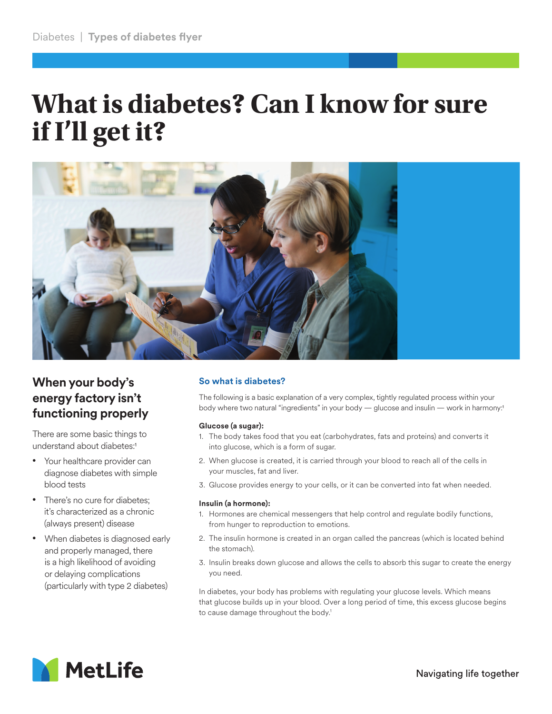# **What is diabetes? Can I know for sure if I'll get it?**



# **When your body's energy factory isn't functioning properly**

There are some basic things to understand about diabetes:1

- Your healthcare provider can diagnose diabetes with simple blood tests
- There's no cure for diabetes: it's characterized as a chronic (always present) disease
- When diabetes is diagnosed early and properly managed, there is a high likelihood of avoiding or delaying complications (particularly with type 2 diabetes)

# **So what is diabetes?**

The following is a basic explanation of a very complex, tightly regulated process within your body where two natural "ingredients" in your body — glucose and insulin — work in harmony:1

### **Glucose (a sugar):**

- 1. The body takes food that you eat (carbohydrates, fats and proteins) and converts it into glucose, which is a form of sugar.
- 2. When glucose is created, it is carried through your blood to reach all of the cells in your muscles, fat and liver.
- 3. Glucose provides energy to your cells, or it can be converted into fat when needed.

#### **Insulin (a hormone):**

- 1. Hormones are chemical messengers that help control and regulate bodily functions, from hunger to reproduction to emotions.
- 2. The insulin hormone is created in an organ called the pancreas (which is located behind the stomach).
- 3. Insulin breaks down glucose and allows the cells to absorb this sugar to create the energy you need.

In diabetes, your body has problems with regulating your glucose levels. Which means that glucose builds up in your blood. Over a long period of time, this excess glucose begins to cause damage throughout the body.<sup>1</sup>